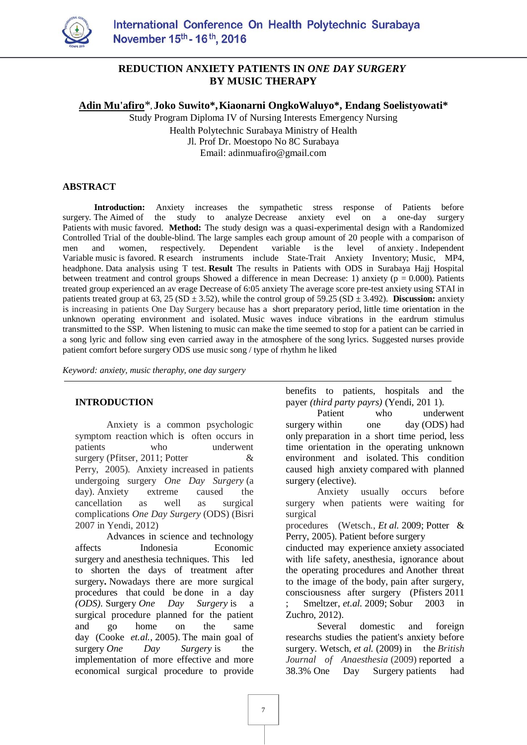

# **REDUCTION ANXIETY PATIENTS IN** *ONE DAY SURGERY* **BY MUSIC THERAPY**

**Adin Mu'afiro**\***, Joko Suwito\*,Kiaonarni OngkoWaluyo\*, Endang Soelistyowati\***

Study Program Diploma IV of Nursing Interests Emergency Nursing Health Polytechnic Surabaya Ministry of Health Jl. Prof Dr. Moestopo No 8C Surabaya Email: adinmuafiro@gmail.com

#### **ABSTRACT**

**Introduction:** Anxiety increases the sympathetic stress response of Patients before surgery. The Aimed of the study to analyze Decrease anxiety evel on a one-day surgery Patients with music favored. **Method:** The study design was a quasi-experimental design with a Randomized Controlled Trial of the double-blind. The large samples each group amount of 20 people with a comparison of men and women, respectively. Dependent variable is the level of anxiety . Independent Variable music is favored. R esearch instruments include State-Trait Anxiety Inventory; Music, MP4, headphone. Data analysis using T test. **Result** The results in Patients with ODS in Surabaya Hajj Hospital between treatment and control groups Showed a difference in mean Decrease: 1) anxiety ( $p = 0.000$ ). Patients treated group experienced an av erage Decrease of 6:05 anxiety The average score pre-test anxiety using STAI in patients treated group at 63, 25 ( $SD \pm 3.52$ ), while the control group of 59.25 ( $SD \pm 3.492$ ). **Discussion:** anxiety is increasing in patients One Day Surgery because has a short preparatory period, little time orientation in the unknown operating environment and isolated. Music waves induce vibrations in the eardrum stimulus transmitted to the SSP. When listening to music can make the time seemed to stop for a patient can be carried in a song lyric and follow sing even carried away in the atmosphere of the song lyrics. Suggested nurses provide patient comfort before surgery ODS use music song / type of rhythm he liked

*Keyword: anxiety, music theraphy, one day surgery*

#### **INTRODUCTION**

Anxiety is a common psychologic symptom reaction which is often occurs in patients who underwent surgery (Pfitser, 2011; Potter & Perry, 2005). Anxiety increased in patients undergoing surgery *One Day Surgery* (a day). Anxiety extreme caused the cancellation as well as surgical complications *One Day Surgery* (ODS) (Bisri 2007 in Yendi, 2012)

Advances in science and technology affects Indonesia Economic surgery and anesthesia techniques. This led to shorten the days of treatment after surgery**.** Nowadays there are more surgical procedures that could be done in a day *(ODS).* Surgery *One Day Surgery* is a surgical procedure planned for the patient and go home on the same day (Cooke *et.al.,* 2005). The main goal of surgery *One Day Surgery* is the implementation of more effective and more economical surgical procedure to provide

benefits to patients, hospitals and the payer *(third party payrs)* (Yendi, 201 1).

Patient who underwent surgery within one day (ODS) had only preparation in a short time period, less time orientation in the operating unknown environment and isolated. This condition caused high anxiety compared with planned surgery (elective).

Anxiety usually occurs before surgery when patients were waiting for surgical

procedures (Wetsch., *Et al.* 2009; Potter & Perry, 2005). Patient before surgery

cinducted may experience anxiety associated with life safety, anesthesia, ignorance about the operating procedures and Another threat to the image of the body, pain after surgery, consciousness after surgery (Pfisters 2011 ; Smeltzer, *et.al.* 2009; Sobur 2003 in Zuchro, 2012).

Several domestic and foreign researchs studies the patient's anxiety before surgery. Wetsch, *et al.* (2009) in the *British Journal of Anaesthesia* (2009) reported a 38.3% One Day Surgery patients had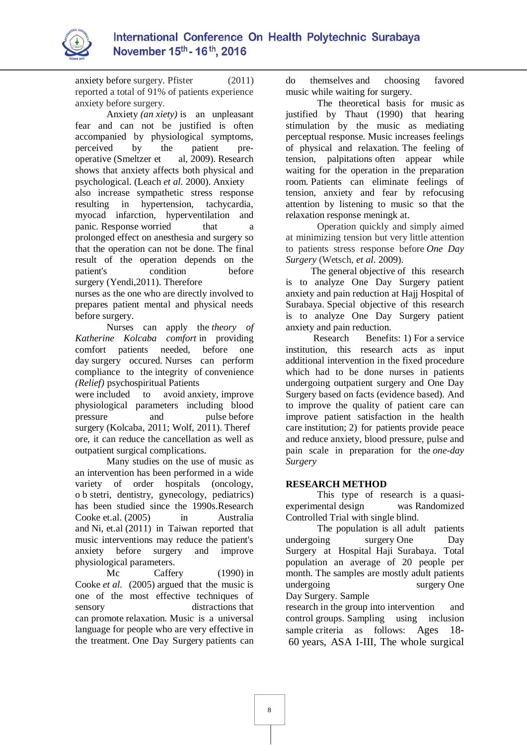

anxiety before surgery. Pfister (2011) reported a total of 91% of patients experience anxiety before surgery.

Anxiety *(an xiety)* is an unpleasant fear and can not be justified is often accompanied by physiological symptoms, perceived by the patient preoperative (Smeltzer et al, 2009). Research shows that anxiety affects both physical and psychological. (Leach *et al.* 2000). Anxiety also increase sympathetic stress response resulting in hypertension, tachycardia, myocad infarction, hyperventilation and panic. Response worried that a prolonged effect on anesthesia and surgery so that the operation can not be done. The final result of the operation depends on the patient's condition before surgery (Yendi,2011). Therefore

nurses as the one who are directly involved to prepares patient mental and physical needs before surgery.

Nurses can apply the *theory of Katherine Kolcaba comfort* in providing comfort patients needed, before one day surgery occured. Nurses can perform compliance to the integrity of convenience *(Relief)* psychospiritual Patients

were included to avoid anxiety, improve physiological parameters including blood pressure and pulse before surgery (Kolcaba, 2011; Wolf, 2011). Theref ore, it can reduce the cancellation as well as outpatient surgical complications.

Many studies on the use of music as an intervention has been performed in a wide variety of order hospitals (oncology, o b stetri, dentistry, gynecology, pediatrics) has been studied since the 1990s.Research Cooke et.al. (2005) in Australia and Ni, et.al (2011) in Taiwan reported that music interventions may reduce the patient's anxiety before surgery and improve physiological parameters.

Mc Caffery (1990) in Cooke *et al.* (2005) argued that the music is one of the most effective techniques of sensory distractions that can promote relaxation. Music is a universal language for people who are very effective in the treatment. One Day Surgery patients can

do themselves and choosing favored music while waiting for surgery.

The theoretical basis for music as justified by Thaut (1990) that hearing stimulation by the music as mediating perceptual response. Music increases feelings of physical and relaxation. The feeling of tension, palpitations often appear while waiting for the operation in the preparation room. Patients can eliminate feelings of tension, anxiety and fear by refocusing attention by listening to music so that the relaxation response meningk at.

Operation quickly and simply aimed at minimizing tension but very little attention to patients stress response before *One Day Surgery* (Wetsch, *et al.* 2009).

The general objective of this research is to analyze One Day Surgery patient anxiety and pain reduction at Hajj Hospital of Surabaya. Special objective of this research is to analyze One Day Surgery patient anxiety and pain reduction.

Research Benefits: 1) For a service institution, this research acts as input additional intervention in the fixed procedure which had to be done nurses in patients undergoing outpatient surgery and One Day Surgery based on facts (evidence based). And to improve the quality of patient care can improve patient satisfaction in the health care institution; 2) for patients provide peace and reduce anxiety, blood pressure, pulse and pain scale in preparation for the *one-day Surgery*

# **RESEARCH METHOD**

This type of research is a quasiexperimental design was Randomized Controlled Trial with single blind.

The population is all adult patients undergoing surgery One Day Surgery at Hospital Haji Surabaya. Total population an average of 20 people per month. The samples are mostly adult patients undergoing surgery One Day Surgery. Sample

research in the group into intervention and control groups. Sampling using inclusion sample criteria as follows: Ages 18-60 years, ASA I-III, The whole surgical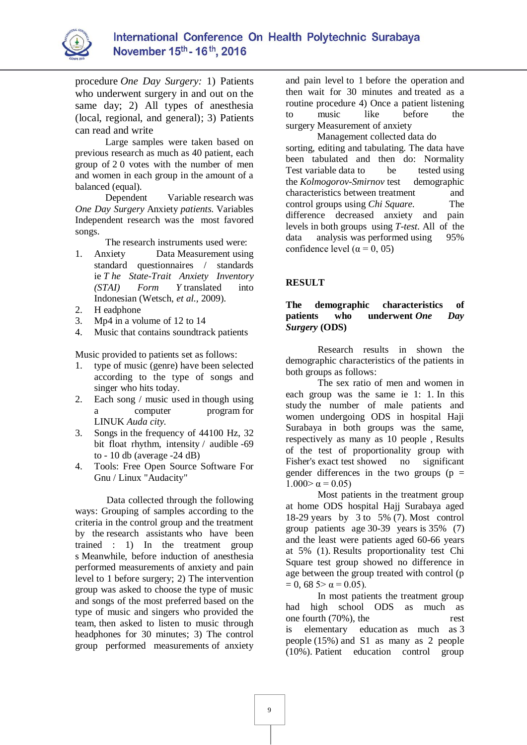

procedure *One Day Surgery:* 1) Patients who underwent surgery in and out on the same day; 2) All types of anesthesia (local, regional, and general); 3) Patients can read and write

Large samples were taken based on previous research as much as 40 patient, each group of 2 0 votes with the number of men and women in each group in the amount of a balanced (equal).

Dependent Variable research was *One Day Surgery* Anxiety *patients.* Variables Independent research was the most favored songs.

The research instruments used were:

- 1. Anxiety Data Measurement using standard questionnaires / standards ie *T he State-Trait Anxiety Inventory (STAI) Form Y* translated into Indonesian (Wetsch, *et al.,* 2009).
- 2. H eadphone
- 3. Mp4 in a volume of 12 to 14
- 4. Music that contains soundtrack patients

Music provided to patients set as follows:

- 1. type of music (genre) have been selected according to the type of songs and singer who hits today.
- 2. Each song / music used in though using a computer program for LINUK *Auda city.*
- 3. Songs in the frequency of 44100 Hz, 32 bit float rhythm, intensity / audible -69 to  $-10$  db (average  $-24$  dB)
- 4. Tools: Free Open Source Software For Gnu / Linux "Audacity"

Data collected through the following ways: Grouping of samples according to the criteria in the control group and the treatment by the research assistants who have been trained : 1) In the treatment group s Meanwhile, before induction of anesthesia performed measurements of anxiety and pain level to 1 before surgery; 2) The intervention group was asked to choose the type of music and songs of the most preferred based on the type of music and singers who provided the team, then asked to listen to music through headphones for 30 minutes; 3) The control group performed measurements of anxiety

and pain level to 1 before the operation and then wait for 30 minutes and treated as a routine procedure 4) Once a patient listening to music like before the surgery Measurement of anxiety

Management collected data do sorting, editing and tabulating. The data have been tabulated and then do: Normality Test variable data to be tested using the *Kolmogorov-Smirnov* test demographic characteristics between treatment and control groups using *Chi Square.* The difference decreased anxiety and pain levels in both groups using *T-test.* All of the data analysis was performed using 95% confidence level ( $\alpha$  = 0, 05)

#### **RESULT**

#### **The demographic characteristics of patients who underwent** *One Day Surgery* **(ODS)**

Research results in shown the demographic characteristics of the patients in both groups as follows:

The sex ratio of men and women in each group was the same ie 1: 1. In this study the number of male patients and women undergoing ODS in hospital Haji Surabaya in both groups was the same, respectively as many as 10 people , Results of the test of proportionality group with Fisher's exact test showed no significant gender differences in the two groups ( $p =$  $1.000 > \alpha = 0.05$ 

Most patients in the treatment group at home ODS hospital Hajj Surabaya aged 18-29 years by  $3$  to 5% (7). Most control group patients age 30-39 years is 35% (7) and the least were patients aged 60-66 years at 5% (1). Results proportionality test Chi Square test group showed no difference in age between the group treated with control (p  $= 0$ , 68 5>  $\alpha = 0.05$ ).

In most patients the treatment group had high school ODS as much as one fourth (70%), the rest is elementary education as much as 3 people (15%) and S1 as many as 2 people (10%). Patient education control group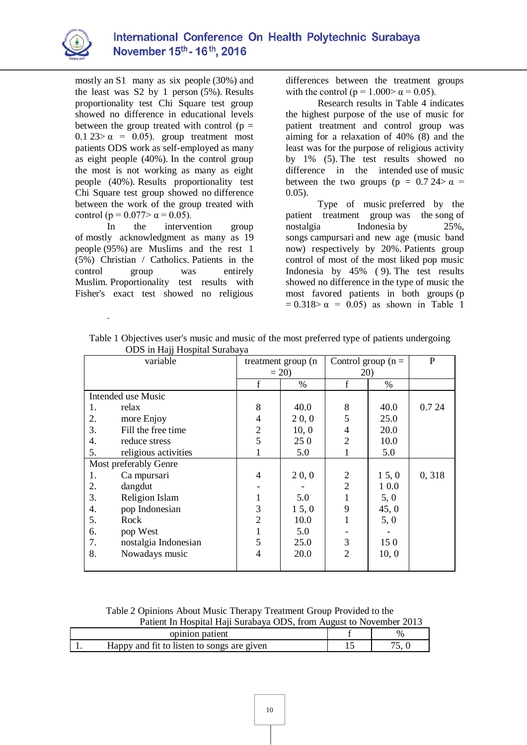

mostly an S1 many as six people (30%) and the least was S2 by 1 person (5%). Results proportionality test Chi Square test group showed no difference in educational levels between the group treated with control ( $p =$ 0.1 23>  $\alpha$  = 0.05). group treatment most patients ODS work as self-employed as many as eight people (40%). In the control group the most is not working as many as eight people (40%). Results proportionality test Chi Square test group showed no difference between the work of the group treated with control ( $p = 0.077 > \alpha = 0.05$ ).

In the intervention group of mostly acknowledgment as many as 19 people (95%) are Muslims and the rest 1 (5%) Christian / Catholics. Patients in the control group was entirely Muslim. Proportionality test results with Fisher's exact test showed no religious

.

differences between the treatment groups with the control ( $p = 1.000 > \alpha = 0.05$ ).

Research results in Table 4 indicates the highest purpose of the use of music for patient treatment and control group was aiming for a relaxation of 40% (8) and the least was for the purpose of religious activity by 1% (5). The test results showed no difference in the intended use of music between the two groups ( $p = 0.724 > \alpha$ 0.05).

Type of music preferred by the patient treatment group was the song of nostalgia Indonesia by 25%, songs campursari and new age (music band now) respectively by 20%. Patients group control of most of the most liked pop music Indonesia by 45% ( 9). The test results showed no difference in the type of music the most favored patients in both groups (p  $= 0.318 > α = 0.05$  as shown in Table 1

| variable              |                      | treatment group (n |         | Control group $(n =$ |         | P      |
|-----------------------|----------------------|--------------------|---------|----------------------|---------|--------|
|                       |                      | $= 20$             |         | 20)                  |         |        |
|                       |                      | f                  | $\%$    | $\mathbf f$          | $\%$    |        |
| Intended use Music    |                      |                    |         |                      |         |        |
| 1.                    | relax                | 8                  | 40.0    | 8                    | 40.0    | 0.7 24 |
| 2.                    | more Enjoy           | 4                  | 20, 0   | 5                    | 25.0    |        |
| 3.                    | Fill the free time   | $\overline{2}$     | 10, 0   | $\overline{4}$       | 20.0    |        |
| 4.                    | reduce stress        | 5                  | 250     | $\overline{2}$       | 10.0    |        |
| 5.                    | religious activities |                    | 5.0     |                      | 5.0     |        |
| Most preferably Genre |                      |                    |         |                      |         |        |
| 1.                    | Ca mpursari          | $\overline{4}$     | 20, 0   | $\overline{2}$       | 1, 5, 0 | 0,318  |
| 2.                    | dangdut              |                    |         | $\overline{2}$       | 1 0.0   |        |
| 3.                    | Religion Islam       |                    | 5.0     |                      | 5, 0    |        |
| 4.                    | pop Indonesian       | 3                  | 1, 5, 0 | 9                    | 45, 0   |        |
| 5.                    | Rock                 | $\overline{2}$     | 10.0    |                      | 5, 0    |        |
| 6.                    | pop West             |                    | 5.0     |                      |         |        |
| 7.                    | nostalgia Indonesian | 5                  | 25.0    | 3                    | 150     |        |
| 8.                    | Nowadays music       | 4                  | 20.0    | $\overline{2}$       | 10, 0   |        |
|                       |                      |                    |         |                      |         |        |

Table 1 Objectives user's music and music of the most preferred type of patients undergoing ODS in Hajj Hospital Surabaya

Table 2 Opinions About Music Therapy Treatment Group Provided to the Patient In Hospital Haji Surabaya ODS, from August to November 2013

| opinion patient                            | $\%$ |
|--------------------------------------------|------|
| Happy and fit to listen to songs are given |      |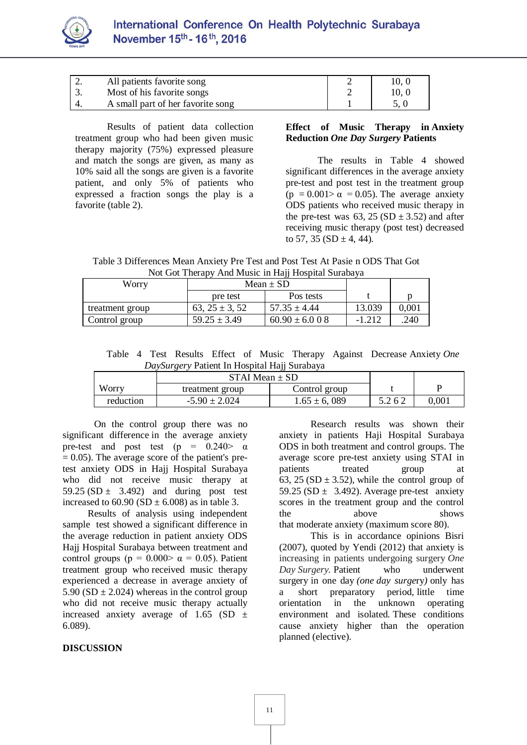

| <u>.</u> | All patients favorite song        | 10. 0 |
|----------|-----------------------------------|-------|
|          | Most of his favorite songs        | 10, 0 |
|          | A small part of her favorite song |       |

Results of patient data collection treatment group who had been given music therapy majority (75%) expressed pleasure and match the songs are given, as many as 10% said all the songs are given is a favorite patient, and only 5% of patients who expressed a fraction songs the play is a favorite (table 2).

## **Effect of Music Therapy in Anxiety Reduction** *One Day Surgery* **Patients**

The results in Table 4 showed significant differences in the average anxiety pre-test and post test in the treatment group  $(p = 0.001 > \alpha = 0.05)$ . The average anxiety ODS patients who received music therapy in the pre-test was  $63$ ,  $25(SD \pm 3.52)$  and after receiving music therapy (post test) decreased to 57, 35 (SD  $\pm$  4, 44).

Table 3 Differences Mean Anxiety Pre Test and Post Test At Pasie n ODS That Got Not Got Therapy And Music in Hajj Hospital Surabaya

| Worry           | Mean $\pm$ SD       |                   |          |       |
|-----------------|---------------------|-------------------|----------|-------|
|                 | pre test            | Pos tests         |          |       |
| treatment group | 63, $25 \pm 3$ , 52 | $57.35 \pm 4.44$  | 13.039   | 0,001 |
| Control group   | $59.25 \pm 3.49$    | $60.90 \pm 6.008$ | $-1.212$ | .240  |

Table 4 Test Results Effect of Music Therapy Against Decrease Anxiety *One DaySurgery* Patient In Hospital Hajj Surabaya

|           | $STAI$ Mean $\pm$ SD |                  |       |       |
|-----------|----------------------|------------------|-------|-------|
| Worry     | treatment group      | Control group    |       |       |
| reduction | $-5.90 \pm 2.024$    | $1.65 \pm 6.089$ | 5.262 | 0,001 |

On the control group there was no significant difference in the average anxiety pre-test and post test (p =  $0.240$  a  $= 0.05$ ). The average score of the patient's pretest anxiety ODS in Hajj Hospital Surabaya who did not receive music therapy at 59.25 (SD  $\pm$  3.492) and during post test increased to  $60.90$  (SD  $\pm$  6.008) as in table 3.

Results of analysis using independent sample test showed a significant difference in the average reduction in patient anxiety ODS Hajj Hospital Surabaya between treatment and control groups ( $p = 0.000 > \alpha = 0.05$ ). Patient treatment group who received music therapy experienced a decrease in average anxiety of 5.90 (SD  $\pm$  2.024) whereas in the control group who did not receive music therapy actually increased anxiety average of 1.65 (SD  $\pm$ 6.089).

#### **DISCUSSION**

Research results was shown their anxiety in patients Haji Hospital Surabaya ODS in both treatment and control groups. The average score pre-test anxiety using STAI in patients treated group at 63, 25 (SD  $\pm$  3.52), while the control group of 59.25 (SD  $\pm$  3.492). Average pre-test anxiety scores in the treatment group and the control the above shows that moderate anxiety (maximum score 80).

This is in accordance opinions Bisri (2007), quoted by Yendi (2012) that anxiety is increasing in patients undergoing surgery *One Day Surgery.* Patient who underwent surgery in one day *(one day surge*ry*)* only has a short preparatory period, little time orientation in the unknown operating environment and isolated. These conditions cause anxiety higher than the operation planned (elective).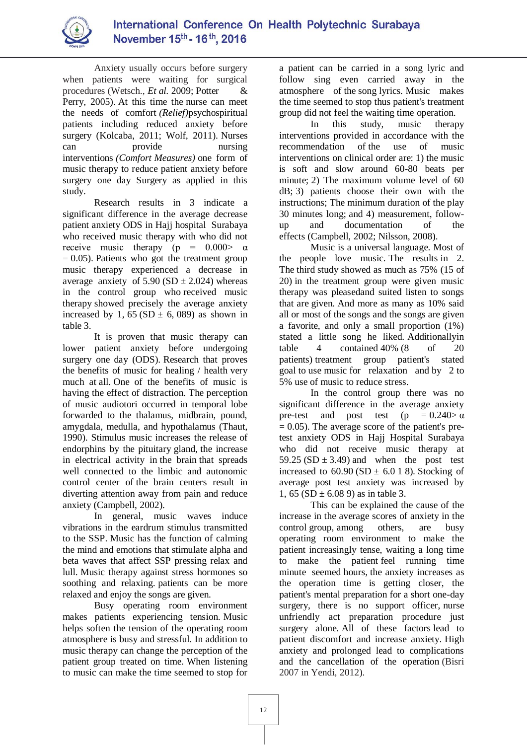

Anxiety usually occurs before surgery when patients were waiting for surgical procedures (Wetsch., *Et al.* 2009; Potter & Perry, 2005). At this time the nurse can meet the needs of comfort *(Relief)*psychospiritual patients including reduced anxiety before surgery (Kolcaba, 2011; Wolf, 2011). Nurses can provide nursing interventions *(Comfort Measures)* one form of music therapy to reduce patient anxiety before surgery one day Surgery as applied in this study.

Research results in 3 indicate a significant difference in the average decrease patient anxiety ODS in Hajj hospital Surabaya who received music therapy with who did not receive music therapy (p =  $0.000$ )  $\alpha$  $= 0.05$ ). Patients who got the treatment group music therapy experienced a decrease in average anxiety of  $5.90$  (SD  $\pm$  2.024) whereas in the control group who received music therapy showed precisely the average anxiety increased by 1,  $65 (SD \pm 6, 089)$  as shown in table 3.

It is proven that music therapy can lower patient anxiety before undergoing surgery one day (ODS). Research that proves the benefits of music for healing / health very much at all. One of the benefits of music is having the effect of distraction. The perception of music audiotori occurred in temporal lobe forwarded to the thalamus, midbrain, pound, amygdala, medulla, and hypothalamus (Thaut, 1990). Stimulus music increases the release of endorphins by the pituitary gland, the increase in electrical activity in the brain that spreads well connected to the limbic and autonomic control center of the brain centers result in diverting attention away from pain and reduce anxiety (Campbell, 2002).

In general, music waves induce vibrations in the eardrum stimulus transmitted to the SSP. Music has the function of calming the mind and emotions that stimulate alpha and beta waves that affect SSP pressing relax and lull. Music therapy against stress hormones so soothing and relaxing. patients can be more relaxed and enjoy the songs are given.

Busy operating room environment makes patients experiencing tension. Music helps soften the tension of the operating room atmosphere is busy and stressful. In addition to music therapy can change the perception of the patient group treated on time. When listening to music can make the time seemed to stop for a patient can be carried in a song lyric and follow sing even carried away in the atmosphere of the song lyrics. Music makes the time seemed to stop thus patient's treatment group did not feel the waiting time operation.

In this study, music therapy interventions provided in accordance with the recommendation of the use of music interventions on clinical order are: 1) the music is soft and slow around 60-80 beats per minute; 2) The maximum volume level of 60 dB; 3) patients choose their own with the instructions; The minimum duration of the play 30 minutes long; and 4) measurement, followup and documentation of the effects (Campbell, 2002; Nilsson, 2008).

Music is a universal language. Most of the people love music. The results in 2. The third study showed as much as 75% (15 of 20) in the treatment group were given music therapy was pleasedand suited listen to songs that are given. And more as many as 10% said all or most of the songs and the songs are given a favorite, and only a small proportion (1%) stated a little song he liked. Additionallyin table 4 contained 40% (8 of 20 patients) treatment group patient's stated goal to use music for relaxation and by 2 to 5% use of music to reduce stress.

In the control group there was no significant difference in the average anxiety pre-test and post test (p =  $0.240 > \alpha$ )  $= 0.05$ ). The average score of the patient's pretest anxiety ODS in Hajj Hospital Surabaya who did not receive music therapy at 59.25 (SD  $\pm$  3.49) and when the post test increased to  $60.90$  (SD  $\pm$  6.0 1 8). Stocking of average post test anxiety was increased by 1,  $65 (SD \pm 6.08)$  as in table 3.

This can be explained the cause of the increase in the average scores of anxiety in the control group, among others, are busy operating room environment to make the patient increasingly tense, waiting a long time to make the patient feel running time minute seemed hours, the anxiety increases as the operation time is getting closer, the patient's mental preparation for a short one-day surgery, there is no support officer, nurse unfriendly act preparation procedure just surgery alone. All of these factors lead to patient discomfort and increase anxiety. High anxiety and prolonged lead to complications and the cancellation of the operation (Bisri 2007 in Yendi, 2012).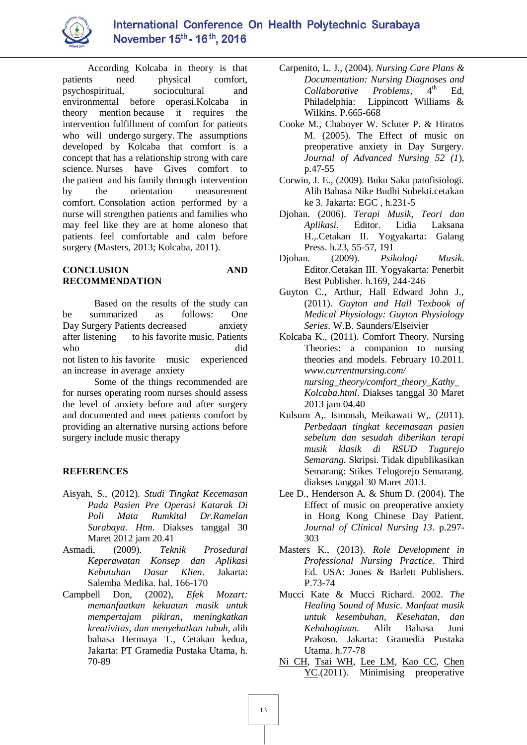

According Kolcaba in theory is that patients need physical comfort, psychospiritual, sociocultural and environmental before operasi.Kolcaba in theory mention because it requires the intervention fulfillment of comfort for patients who will undergo surgery. The assumptions developed by Kolcaba that comfort is a concept that has a relationship strong with care science. Nurses have Gives comfort to the patient and his family through intervention by the orientation measurement comfort. Consolation action performed by a nurse will strengthen patients and families who may feel like they are at home aloneso that patients feel comfortable and calm before surgery (Masters, 2013; Kolcaba, 2011).

## **CONCLUSION AND RECOMMENDATION**

Based on the results of the study can be summarized as follows: One Day Surgery Patients decreased anxiety after listening to his favorite music. Patients who did not listen to his favorite music experienced an increase in average anxiety

Some of the things recommended are for nurses operating room nurses should assess the level of anxiety before and after surgery and documented and meet patients comfort by providing an alternative nursing actions before surgery include music therapy

# **REFERENCES**

- Aisyah, S., (2012). *Studi Tingkat Kecemasan Pada Pasien Pre Operasi Katarak Di Poli Mata Rumkital Dr.Ramelan Surabaya*. *Htm*. Diakses tanggal 30 Maret 2012 jam 20.41
- Asmadi, (2009). *Teknik Prosedural Keperawatan Konsep dan Aplikasi Kebutuhan Dasar Klien*. Jakarta: Salemba Medika. hal. 166-170
- Campbell Don, (2002), *Efek Mozart: memanfaatkan kekuatan musik untuk mempertajam pikiran, meningkatkan kreativitas, dan menyehatkan tubuh*, alih bahasa Hermaya T., Cetakan kedua, Jakarta: PT Gramedia Pustaka Utama, h. 70-89
- Carpenito, L. J., (2004). *Nursing Care Plans & Documentation: Nursing Diagnoses and Collaborative Problems*, 4 Ed, Philadelphia: Lippincott Williams & Wilkins. P.665-668
- Cooke M., Chaboyer W. Scluter P. & Hiratos M. (2005). The Effect of music on preoperative anxiety in Day Surgery*. Journal of Advanced Nursing 52 (1*), p.47-55
- Corwin, J. E., (2009). Buku Saku patofisiologi. Alih Bahasa Nike Budhi Subekti.cetakan ke 3. Jakarta: EGC , h.231-5
- Djohan. (2006). *Terapi Musik, Teori dan Aplikasi*. Editor. Lidia Laksana H.,.Cetakan II. Yogyakarta: Galang Press. h.23, 55-57, 191
- Djohan. (2009). *Psikologi Musik*. Editor.Cetakan III. Yogyakarta: Penerbit Best Publisher. h.169, 244-246
- Guyton C., Arthur, Hall Edward John J., (2011). *Guyton and Hall Texbook of Medical Physiology: Guyton Physiology Series*. W.B. Saunders/Elseivier
- Kolcaba K., (2011). Comfort Theory. Nursing Theories: a companion to nursing theories and models. February 10.2011. *www.currentnursing.com/ nursing\_theory/comfort\_theory\_Kathy\_ Kolcaba.html*. Diakses tanggal 30 Maret 2013 jam 04.40
- Kulsum A,. Ismonah, Meikawati W,. (2011). *Perbedaan tingkat kecemasaan pasien sebelum dan sesudah diberikan terapi musik klasik di RSUD Tugurejo Semarang.* Skripsi. Tidak dipublikasikan Semarang: Stikes Telogorejo Semarang. diakses tanggal 30 Maret 2013.
- Lee D., Henderson A. & Shum D. (2004). The Effect of music on preoperative anxiety in Hong Kong Chinese Day Patient. *Journal of Clinical Nursing 13*. p.297- 303
- Masters K., (2013). *Role Development in Professional Nursing Practice*. Third Ed. USA: Jones & Barlett Publishers. P.73-74
- Mucci Kate & Mucci Richard. 2002. *The Healing Sound of Music. Manfaat musik untuk kesembuhan, Kesehatan, dan Kebahagiaan*. Alih Bahasa Juni Prakoso. Jakarta: Gramedia Pustaka Utama. h.77-78
- Ni CH, Tsai WH, Lee LM, Kao CC, Chen YC.(2011). Minimising preoperative